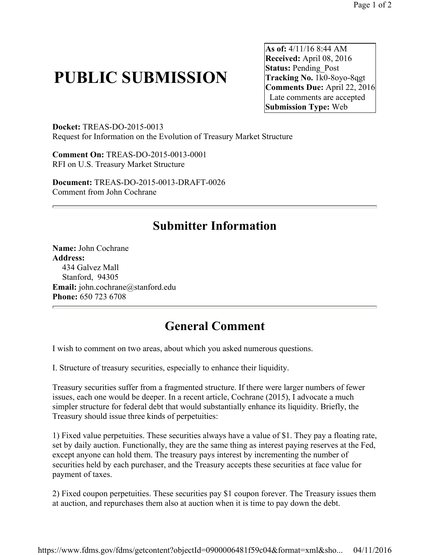# **PUBLIC SUBMISSION**

**As of:** 4/11/16 8:44 AM **Received:** April 08, 2016 **Status: Pending Post Tracking No.** 1k0-8oyo-8qgt **Comments Due:** April 22, 2016 Late comments are accepted **Submission Type:** Web

**Docket:** TREAS-DO-2015-0013 Request for Information on the Evolution of Treasury Market Structure

**Comment On:** TREAS-DO-2015-0013-0001 RFI on U.S. Treasury Market Structure

**Document:** TREAS-DO-2015-0013-DRAFT-0026 Comment from John Cochrane

## **Submitter Information**

**Name:** John Cochrane **Address:**  434 Galvez Mall Stanford, 94305 Email: john.cochrane@stanford.edu **Phone:** 650 723 6708

## **General Comment**

I wish to comment on two areas, about which you asked numerous questions.

I. Structure of treasury securities, especially to enhance their liquidity.

Treasury securities suffer from a fragmented structure. If there were larger numbers of fewer issues, each one would be deeper. In a recent article, Cochrane (2015), I advocate a much simpler structure for federal debt that would substantially enhance its liquidity. Briefly, the Treasury should issue three kinds of perpetuities:

1) Fixed value perpetuities. These securities always have a value of \$1. They pay a floating rate, set by daily auction. Functionally, they are the same thing as interest paying reserves at the Fed, except anyone can hold them. The treasury pays interest by incrementing the number of securities held by each purchaser, and the Treasury accepts these securities at face value for payment of taxes.

2) Fixed coupon perpetuities. These securities pay \$1 coupon forever. The Treasury issues them at auction, and repurchases them also at auction when it is time to pay down the debt.